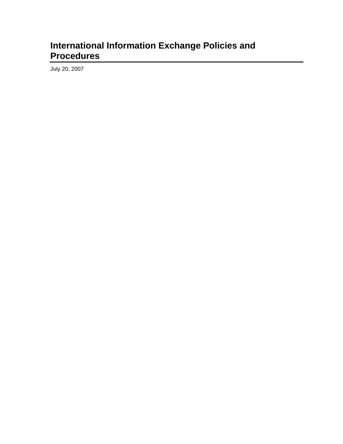## **International Information Exchange Policies and Procedures**

July 20, 2007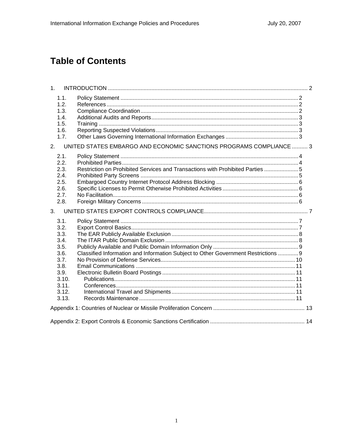# **Table of Contents**

| 1.                                                                            |                                                                                    |  |
|-------------------------------------------------------------------------------|------------------------------------------------------------------------------------|--|
| 1.1.<br>1.2.<br>1.3.<br>1.4.<br>1.5.<br>1.6.<br>1.7.                          |                                                                                    |  |
| 2.                                                                            | UNITED STATES EMBARGO AND ECONOMIC SANCTIONS PROGRAMS COMPLIANCE  3                |  |
| 2.1.<br>2.2.<br>2.3.<br>2.4.<br>2.5.<br>2.6.<br>2.7.<br>2.8.                  | Restriction on Prohibited Services and Transactions with Prohibited Parties 5      |  |
| 3 <sub>1</sub>                                                                |                                                                                    |  |
| 3.1.<br>3.2.<br>3.3.<br>3.4.<br>3.5.<br>3.6.<br>3.7.<br>3.8.<br>3.9.<br>3.10. | Classified Information and Information Subject to Other Government Restrictions  9 |  |
| 3.11.<br>3.12.<br>3.13.                                                       |                                                                                    |  |
|                                                                               |                                                                                    |  |
|                                                                               |                                                                                    |  |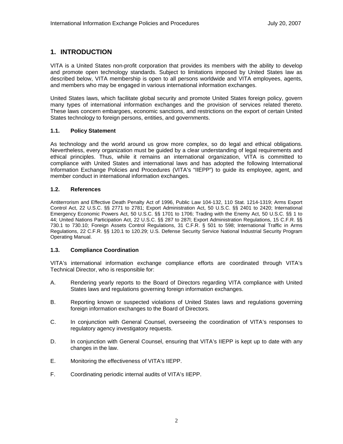### **1. INTRODUCTION**

VITA is a United States non-profit corporation that provides its members with the ability to develop and promote open technology standards. Subject to limitations imposed by United States law as described below, VITA membership is open to all persons worldwide and VITA employees, agents, and members who may be engaged in various international information exchanges.

United States laws, which facilitate global security and promote United States foreign policy, govern many types of international information exchanges and the provision of services related thereto. These laws concern embargoes, economic sanctions, and restrictions on the export of certain United States technology to foreign persons, entities, and governments.

### **1.1. Policy Statement**

As technology and the world around us grow more complex, so do legal and ethical obligations. Nevertheless, every organization must be guided by a clear understanding of legal requirements and ethical principles. Thus, while it remains an international organization, VITA is committed to compliance with United States and international laws and has adopted the following International Information Exchange Policies and Procedures (VITA's "IIEPP") to guide its employee, agent, and member conduct in international information exchanges.

### **1.2. References**

Antiterrorism and Effective Death Penalty Act of 1996, Public Law 104-132, 110 Stat. 1214-1319; Arms Export Control Act, 22 U.S.C. §§ 2771 to 2781; Export Administration Act, 50 U.S.C. §§ 2401 to 2420; International Emergency Economic Powers Act, 50 U.S.C. §§ 1701 to 1706; Trading with the Enemy Act, 50 U.S.C. §§ 1 to 44; United Nations Participation Act, 22 U.S.C. §§ 287 to 287l; Export Administration Regulations, 15 C.F.R. §§ 730.1 to 730.10; Foreign Assets Control Regulations, 31 C.F.R. § 501 to 598; International Traffic in Arms Regulations, 22 C.F.R. §§ 120.1 to 120.29; U.S. Defense Security Service National Industrial Security Program Operating Manual.

### **1.3. Compliance Coordination**

VITA's international information exchange compliance efforts are coordinated through VITA's Technical Director, who is responsible for:

- A. Rendering yearly reports to the Board of Directors regarding VITA compliance with United States laws and regulations governing foreign information exchanges.
- B. Reporting known or suspected violations of United States laws and regulations governing foreign information exchanges to the Board of Directors.
- C. In conjunction with General Counsel, overseeing the coordination of VITA's responses to regulatory agency investigatory requests.
- D. In conjunction with General Counsel, ensuring that VITA's IIEPP is kept up to date with any changes in the law.
- E. Monitoring the effectiveness of VITA's IIEPP.
- F. Coordinating periodic internal audits of VITA's IIEPP.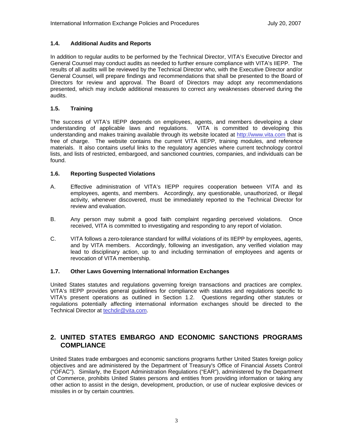### **1.4. Additional Audits and Reports**

In addition to regular audits to be performed by the Technical Director, VITA's Executive Director and General Counsel may conduct audits as needed to further ensure compliance with VITA's IIEPP. The results of all audits will be reviewed by the Technical Director who, with the Executive Director and/or General Counsel, will prepare findings and recommendations that shall be presented to the Board of Directors for review and approval. The Board of Directors may adopt any recommendations presented, which may include additional measures to correct any weaknesses observed during the audits.

### **1.5. Training**

The success of VITA's IIEPP depends on employees, agents, and members developing a clear understanding of applicable laws and regulations. VITA is committed to developing this understanding and makes training available through its website located at http://www.vita.com that is free of charge. The website contains the current VITA IIEPP, training modules, and reference materials. It also contains useful links to the regulatory agencies where current technology control lists, and lists of restricted, embargoed, and sanctioned countries, companies, and individuals can be found.

### **1.6. Reporting Suspected Violations**

- A. Effective administration of VITA's IIEPP requires cooperation between VITA and its employees, agents, and members. Accordingly, any questionable, unauthorized, or illegal activity, whenever discovered, must be immediately reported to the Technical Director for review and evaluation.
- B. Any person may submit a good faith complaint regarding perceived violations. Once received, VITA is committed to investigating and responding to any report of violation.
- C. VITA follows a zero-tolerance standard for willful violations of its IIEPP by employees, agents, and by VITA members. Accordingly, following an investigation, any verified violation may lead to disciplinary action, up to and including termination of employees and agents or revocation of VITA membership.

### **1.7. Other Laws Governing International Information Exchanges**

United States statutes and regulations governing foreign transactions and practices are complex. VITA's IIEPP provides general guidelines for compliance with statutes and regulations specific to VITA's present operations as outlined in Section 1.2. Questions regarding other statutes or regulations potentially affecting international information exchanges should be directed to the Technical Director at techdir@vita.com.

### **2. UNITED STATES EMBARGO AND ECONOMIC SANCTIONS PROGRAMS COMPLIANCE**

United States trade embargoes and economic sanctions programs further United States foreign policy objectives and are administered by the Department of Treasury's Office of Financial Assets Control ("OFAC"). Similarly, the Export Administration Regulations ("EAR"), administered by the Department of Commerce, prohibits United States persons and entities from providing information or taking any other action to assist in the design, development, production, or use of nuclear explosive devices or missiles in or by certain countries.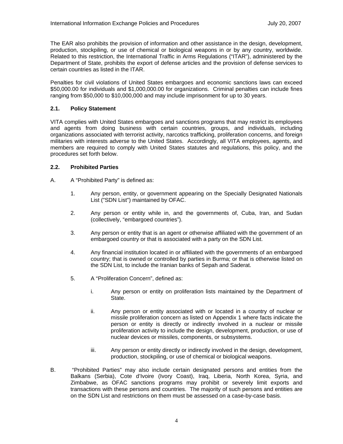The EAR also prohibits the provision of information and other assistance in the design, development, production, stockpiling, or use of chemical or biological weapons in or by any country, worldwide. Related to this restriction, the International Traffic in Arms Regulations ("ITAR"), administered by the Department of State, prohibits the export of defense articles and the provision of defense services to certain countries as listed in the ITAR.

Penalties for civil violations of United States embargoes and economic sanctions laws can exceed \$50,000.00 for individuals and \$1,000,000.00 for organizations. Criminal penalties can include fines ranging from \$50,000 to \$10,000,000 and may include imprisonment for up to 30 years.

### **2.1. Policy Statement**

VITA complies with United States embargoes and sanctions programs that may restrict its employees and agents from doing business with certain countries, groups, and individuals, including organizations associated with terrorist activity, narcotics trafficking, proliferation concerns, and foreign militaries with interests adverse to the United States. Accordingly, all VITA employees, agents, and members are required to comply with United States statutes and regulations, this policy, and the procedures set forth below.

### **2.2. Prohibited Parties**

- A. A "Prohibited Party" is defined as:
	- 1. Any person, entity, or government appearing on the Specially Designated Nationals List ("SDN List") maintained by OFAC.
	- 2. Any person or entity while in, and the governments of, Cuba, Iran, and Sudan (collectively, "embargoed countries").
	- 3. Any person or entity that is an agent or otherwise affiliated with the government of an embargoed country or that is associated with a party on the SDN List.
	- 4. Any financial institution located in or affiliated with the governments of an embargoed country; that is owned or controlled by parties in Burma; or that is otherwise listed on the SDN List, to include the Iranian banks of Sepah and Saderat.
	- 5. A "Proliferation Concern", defined as:
		- i. Any person or entity on proliferation lists maintained by the Department of State.
		- ii. Any person or entity associated with or located in a country of nuclear or missile proliferation concern as listed on Appendix 1 where facts indicate the person or entity is directly or indirectly involved in a nuclear or missile proliferation activity to include the design, development, production, or use of nuclear devices or missiles, components, or subsystems.
		- iii. Any person or entity directly or indirectly involved in the design, development, production, stockpiling, or use of chemical or biological weapons.
- B. "Prohibited Parties" may also include certain designated persons and entities from the Balkans (Serbia), Cote d'Ivoire (Ivory Coast), Iraq, Liberia, North Korea, Syria, and Zimbabwe, as OFAC sanctions programs may prohibit or severely limit exports and transactions with these persons and countries. The majority of such persons and entities are on the SDN List and restrictions on them must be assessed on a case-by-case basis.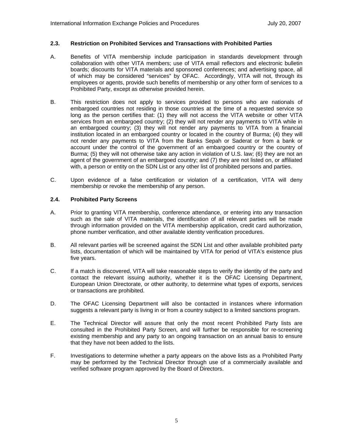### **2.3. Restriction on Prohibited Services and Transactions with Prohibited Parties**

- A. Benefits of VITA membership include participation in standards development through collaboration with other VITA members; use of VITA email reflectors and electronic bulletin boards; discounts for VITA materials and sponsored conferences; and advertising space, all of which may be considered "services" by OFAC. Accordingly, VITA will not, through its employees or agents, provide such benefits of membership or any other form of services to a Prohibited Party, except as otherwise provided herein.
- B. This restriction does not apply to services provided to persons who are nationals of embargoed countries not residing in those countries at the time of a requested service so long as the person certifies that: (1) they will not access the VITA website or other VITA services from an embargoed country; (2) they will not render any payments to VITA while in an embargoed country; (3) they will not render any payments to VITA from a financial institution located in an embargoed country or located in the country of Burma; (4) they will not render any payments to VITA from the Banks Sepah or Saderat or from a bank or account under the control of the government of an embargoed country or the country of Burma; (5) they will not otherwise take any action in violation of U.S. law; (6) they are not an agent of the government of an embargoed country; and (7) they are not listed on, or affiliated with, a person or entity on the SDN List or any other list of prohibited persons and parties.
- C. Upon evidence of a false certification or violation of a certification, VITA will deny membership or revoke the membership of any person.

### **2.4. Prohibited Party Screens**

- A. Prior to granting VITA membership, conference attendance, or entering into any transaction such as the sale of VITA materials, the identification of all relevant parties will be made through information provided on the VITA membership application, credit card authorization, phone number verification, and other available identity verification procedures.
- B. All relevant parties will be screened against the SDN List and other available prohibited party lists, documentation of which will be maintained by VITA for period of VITA's existence plus five years.
- C. If a match is discovered, VITA will take reasonable steps to verify the identity of the party and contact the relevant issuing authority, whether it is the OFAC Licensing Department, European Union Directorate, or other authority, to determine what types of exports, services or transactions are prohibited.
- D. The OFAC Licensing Department will also be contacted in instances where information suggests a relevant party is living in or from a country subject to a limited sanctions program.
- E. The Technical Director will assure that only the most recent Prohibited Party lists are consulted in the Prohibited Party Screen, and will further be responsible for re-screening existing membership and any party to an ongoing transaction on an annual basis to ensure that they have not been added to the lists.
- F. Investigations to determine whether a party appears on the above lists as a Prohibited Party may be performed by the Technical Director through use of a commercially available and verified software program approved by the Board of Directors.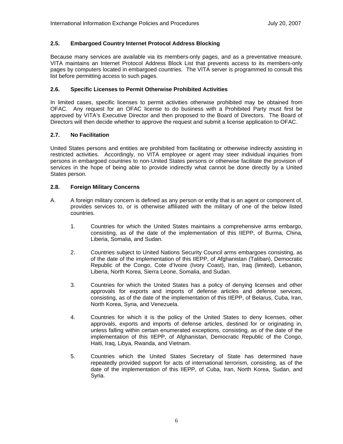### **2.5. Embargoed Country Internet Protocol Address Blocking**

Because many services are available via its members-only pages, and as a preventative measure, VITA maintains an Internet Protocol Address Block List that prevents access to its members-only pages by computers located in embargoed countries. The VITA server is programmed to consult this list before permitting access to such pages.

### **2.6. Specific Licenses to Permit Otherwise Prohibited Activities**

In limited cases, specific licenses to permit activities otherwise prohibited may be obtained from OFAC. Any request for an OFAC license to do business with a Prohibited Party must first be approved by VITA's Executive Director and then proposed to the Board of Directors. The Board of Directors will then decide whether to approve the request and submit a license application to OFAC.

### **2.7. No Facilitation**

United States persons and entities are prohibited from facilitating or otherwise indirectly assisting in restricted activities. Accordingly, no VITA employee or agent may steer individual inquiries from persons in embargoed countries to non-United States persons or otherwise facilitate the provision of services in the hope of being able to provide indirectly what cannot be done directly by a United States person.

#### **2.8. Foreign Military Concerns**

- A. A foreign military concern is defined as any person or entity that is an agent or component of, provides services to, or is otherwise affiliated with the military of one of the below listed countries.
	- 1. Countries for which the United States maintains a comprehensive arms embargo, consisting, as of the date of the implementation of this IIEPP, of Burma, China, Liberia, Somalia, and Sudan.
	- 2. Countries subject to United Nations Security Council arms embargoes consisting, as of the date of the implementation of this IIEPP, of Afghanistan (Taliban), Democratic Republic of the Congo, Cote d'Ivoire (Ivory Coast), Iran, Iraq (limited), Lebanon, Liberia, North Korea, Sierra Leone, Somalia, and Sudan.
	- 3. Countries for which the United States has a policy of denying licenses and other approvals for exports and imports of defense articles and defense services, consisting, as of the date of the implementation of this IIEPP, of Belarus, Cuba, Iran, North Korea, Syria, and Venezuela.
	- 4. Countries for which it is the policy of the United States to deny licenses, other approvals, exports and imports of defense articles, destined for or originating in, unless falling within certain enumerated exceptions, consisting, as of the date of the implementation of this IIEPP, of Afghanistan, Democratic Republic of the Congo, Haiti, Iraq, Libya, Rwanda, and Vietnam.
	- 5. Countries which the United States Secretary of State has determined have repeatedly provided support for acts of international terrorism, consisting, as of the date of the implementation of this IIEPP, of Cuba, Iran, North Korea, Sudan, and Syria.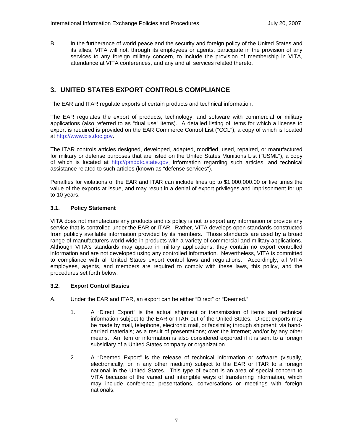B. In the furtherance of world peace and the security and foreign policy of the United States and its allies, VITA will not, through its employees or agents, participate in the provision of any services to any foreign military concern, to include the provision of membership in VITA, attendance at VITA conferences, and any and all services related thereto.

### **3. UNITED STATES EXPORT CONTROLS COMPLIANCE**

The EAR and ITAR regulate exports of certain products and technical information.

The EAR regulates the export of products, technology, and software with commercial or military applications (also referred to as "dual use" items). A detailed listing of items for which a license to export is required is provided on the EAR Commerce Control List ("CCL"), a copy of which is located at http://www.bis.doc.gov.

The ITAR controls articles designed, developed, adapted, modified, used, repaired, or manufactured for military or defense purposes that are listed on the United States Munitions List ("USML"), a copy of which is located at http://pmddtc.state.gov, information regarding such articles, and technical assistance related to such articles (known as "defense services").

Penalties for violations of the EAR and ITAR can include fines up to \$1,000,000.00 or five times the value of the exports at issue, and may result in a denial of export privileges and imprisonment for up to 10 years.

### **3.1. Policy Statement**

VITA does not manufacture any products and its policy is not to export any information or provide any service that is controlled under the EAR or ITAR. Rather, VITA develops open standards constructed from publicly available information provided by its members. Those standards are used by a broad range of manufacturers world-wide in products with a variety of commercial and military applications. Although VITA's standards may appear in military applications, they contain no export controlled information and are not developed using any controlled information. Nevertheless, VITA is committed to compliance with all United States export control laws and regulations. Accordingly, all VITA employees, agents, and members are required to comply with these laws, this policy, and the procedures set forth below.

### **3.2. Export Control Basics**

- A. Under the EAR and ITAR, an export can be either "Direct" or "Deemed."
	- 1. A "Direct Export" is the actual shipment or transmission of items and technical information subject to the EAR or ITAR out of the United States. Direct exports may be made by mail, telephone, electronic mail, or facsimile; through shipment; via handcarried materials; as a result of presentations; over the Internet; and/or by any other means. An item or information is also considered exported if it is sent to a foreign subsidiary of a United States company or organization.
	- 2. A "Deemed Export" is the release of technical information or software (visually, electronically, or in any other medium) subject to the EAR or ITAR to a foreign national in the United States. This type of export is an area of special concern to VITA because of the varied and intangible ways of transferring information, which may include conference presentations, conversations or meetings with foreign nationals.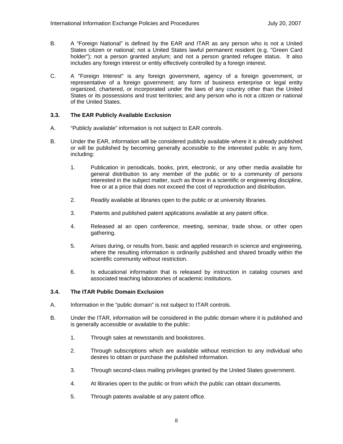- B. A "Foreign National" is defined by the EAR and ITAR as any person who is not a United States citizen or national; not a United States lawful permanent resident (e.g. "Green Card holder"); not a person granted asylum; and not a person granted refugee status. It also includes any foreign interest or entity effectively controlled by a foreign interest.
- C. A "Foreign Interest" is any foreign government, agency of a foreign government, or representative of a foreign government; any form of business enterprise or legal entity organized, chartered, or incorporated under the laws of any country other than the United States or its possessions and trust territories; and any person who is not a citizen or national of the United States.

### **3.3. The EAR Publicly Available Exclusion**

- A. "Publicly available" information is not subject to EAR controls.
- B. Under the EAR, information will be considered publicly available where it is already published or will be published by becoming generally accessible to the interested public in any form, including:
	- 1. Publication in periodicals, books, print, electronic, or any other media available for general distribution to any member of the public or to a community of persons interested in the subject matter, such as those in a scientific or engineering discipline, free or at a price that does not exceed the cost of reproduction and distribution.
	- 2. Readily available at libraries open to the public or at university libraries.
	- 3. Patents and published patent applications available at any patent office.
	- 4. Released at an open conference, meeting, seminar, trade show, or other open gathering.
	- 5. Arises during, or results from, basic and applied research in science and engineering, where the resulting information is ordinarily published and shared broadly within the scientific community without restriction.
	- 6. Is educational information that is released by instruction in catalog courses and associated teaching laboratories of academic institutions.

#### **3.4. The ITAR Public Domain Exclusion**

- A. Information in the "public domain" is not subject to ITAR controls.
- B. Under the ITAR, information will be considered in the public domain where it is published and is generally accessible or available to the public:
	- 1. Through sales at newsstands and bookstores.
	- 2. Through subscriptions which are available without restriction to any individual who desires to obtain or purchase the published information.
	- 3. Through second-class mailing privileges granted by the United States government.
	- 4. At libraries open to the public or from which the public can obtain documents.
	- 5. Through patents available at any patent office.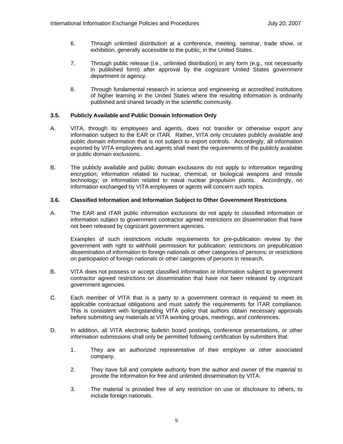- 6. Through unlimited distribution at a conference, meeting, seminar, trade show, or exhibition, generally accessible to the public, in the United States.
- 7. Through public release (i.e., unlimited distribution) in any form (e.g., not necessarily in published form) after approval by the cognizant United States government department or agency.
- 8. Through fundamental research in science and engineering at accredited institutions of higher learning in the United States where the resulting information is ordinarily published and shared broadly in the scientific community.

### **3.5. Publicly Available and Public Domain Information Only**

- A. VITA, through its employees and agents, does not transfer or otherwise export any information subject to the EAR or ITAR. Rather, VITA only circulates publicly available and public domain information that is not subject to export controls. Accordingly, all information exported by VITA employees and agents shall meet the requirements of the publicly available or public domain exclusions.
- B. The publicly available and public domain exclusions do not apply to information regarding encryption; information related to nuclear, chemical, or biological weapons and missile technology; or information related to naval nuclear propulsion plants. Accordingly, no information exchanged by VITA employees or agents will concern such topics.

### **3.6. Classified Information and Information Subject to Other Government Restrictions**

A. The EAR and ITAR public information exclusions do not apply to classified information or information subject to government contractor agreed restrictions on dissemination that have not been released by cognizant government agencies.

Examples of such restrictions include requirements for pre-publication review by the government with right to withhold permission for publication; restrictions on prepublication dissemination of information to foreign nationals or other categories of persons; or restrictions on participation of foreign nationals or other categories of persons in research.

- B. VITA does not possess or accept classified information or information subject to government contractor agreed restrictions on dissemination that have not been released by cognizant government agencies.
- C. Each member of VITA that is a party to a government contract is required to meet its applicable contractual obligations and must satisfy the requirements for ITAR compliance. This is consistent with longstanding VITA policy that authors obtain necessary approvals before submitting any materials at VITA working groups, meetings, and conferences.
- D. In addition, all VITA electronic bulletin board postings, conference presentations, or other information submissions shall only be permitted following certification by submitters that:
	- 1. They are an authorized representative of their employer or other associated company.
	- 2. They have full and complete authority from the author and owner of the material to provide the information for free and unlimited dissemination by VITA.
	- 3. The material is provided free of any restriction on use or disclosure to others, to include foreign nationals.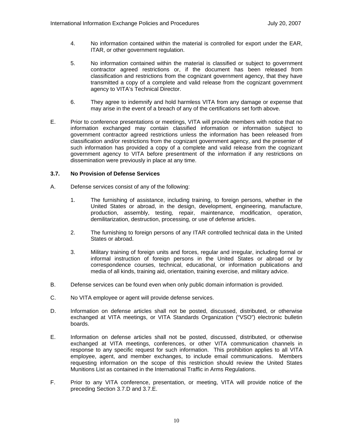- 4. No information contained within the material is controlled for export under the EAR, ITAR, or other government regulation.
- 5. No information contained within the material is classified or subject to government contractor agreed restrictions or, if the document has been released from classification and restrictions from the cognizant government agency, that they have transmitted a copy of a complete and valid release from the cognizant government agency to VITA's Technical Director.
- 6. They agree to indemnify and hold harmless VITA from any damage or expense that may arise in the event of a breach of any of the certifications set forth above.
- E. Prior to conference presentations or meetings, VITA will provide members with notice that no information exchanged may contain classified information or information subject to government contractor agreed restrictions unless the information has been released from classification and/or restrictions from the cognizant government agency, and the presenter of such information has provided a copy of a complete and valid release from the cognizant government agency to VITA before presentment of the information if any restrictions on dissemination were previously in place at any time.

### **3.7. No Provision of Defense Services**

- A. Defense services consist of any of the following:
	- 1. The furnishing of assistance, including training, to foreign persons, whether in the United States or abroad, in the design, development, engineering, manufacture, production, assembly, testing, repair, maintenance, modification, operation, demilitarization, destruction, processing, or use of defense articles.
	- 2. The furnishing to foreign persons of any ITAR controlled technical data in the United States or abroad.
	- 3. Military training of foreign units and forces, regular and irregular, including formal or informal instruction of foreign persons in the United States or abroad or by correspondence courses, technical, educational, or information publications and media of all kinds, training aid, orientation, training exercise, and military advice.
- B. Defense services can be found even when only public domain information is provided.
- C. No VITA employee or agent will provide defense services.
- D. Information on defense articles shall not be posted, discussed, distributed, or otherwise exchanged at VITA meetings, or VITA Standards Organization ("VSO") electronic bulletin boards.
- E. Information on defense articles shall not be posted, discussed, distributed, or otherwise exchanged at VITA meetings, conferences, or other VITA communication channels in response to any specific request for such information. This prohibition applies to all VITA employee, agent, and member exchanges, to include email communications. Members requesting information on the scope of this restriction should review the United States Munitions List as contained in the International Traffic in Arms Regulations.
- F. Prior to any VITA conference, presentation, or meeting, VITA will provide notice of the preceding Section 3.7.D and 3.7.E.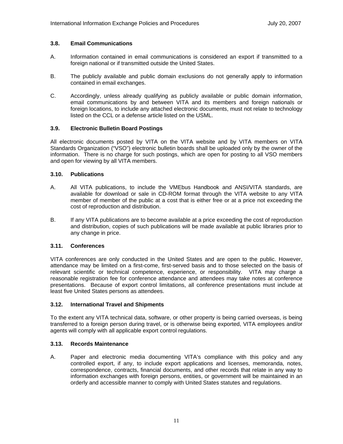### **3.8. Email Communications**

- A. Information contained in email communications is considered an export if transmitted to a foreign national or if transmitted outside the United States.
- B. The publicly available and public domain exclusions do not generally apply to information contained in email exchanges.
- C. Accordingly, unless already qualifying as publicly available or public domain information, email communications by and between VITA and its members and foreign nationals or foreign locations, to include any attached electronic documents, must not relate to technology listed on the CCL or a defense article listed on the USML.

### **3.9. Electronic Bulletin Board Postings**

All electronic documents posted by VITA on the VITA website and by VITA members on VITA Standards Organization ("VSO") electronic bulletin boards shall be uploaded only by the owner of the information. There is no charge for such postings, which are open for posting to all VSO members and open for viewing by all VITA members.

### **3.10. Publications**

- A. All VITA publications, to include the VMEbus Handbook and ANSI/VITA standards, are available for download or sale in CD-ROM format through the VITA website to any VITA member of member of the public at a cost that is either free or at a price not exceeding the cost of reproduction and distribution.
- B. If any VITA publications are to become available at a price exceeding the cost of reproduction and distribution, copies of such publications will be made available at public libraries prior to any change in price.

### **3.11. Conferences**

VITA conferences are only conducted in the United States and are open to the public. However, attendance may be limited on a first-come, first-served basis and to those selected on the basis of relevant scientific or technical competence, experience, or responsibility. VITA may charge a reasonable registration fee for conference attendance and attendees may take notes at conference presentations. Because of export control limitations, all conference presentations must include at least five United States persons as attendees.

### **3.12. International Travel and Shipments**

To the extent any VITA technical data, software, or other property is being carried overseas, is being transferred to a foreign person during travel, or is otherwise being exported, VITA employees and/or agents will comply with all applicable export control regulations.

### **3.13. Records Maintenance**

A. Paper and electronic media documenting VITA's compliance with this policy and any controlled export, if any, to include export applications and licenses, memoranda, notes, correspondence, contracts, financial documents, and other records that relate in any way to information exchanges with foreign persons, entities, or government will be maintained in an orderly and accessible manner to comply with United States statutes and regulations.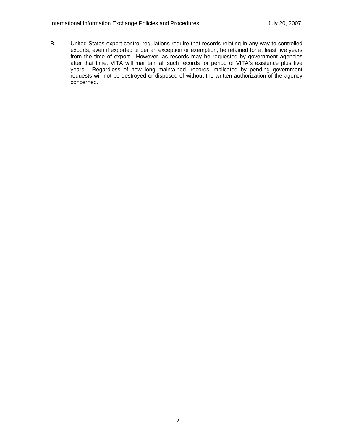B. United States export control regulations require that records relating in any way to controlled exports, even if exported under an exception or exemption, be retained for at least five years from the time of export. However, as records may be requested by government agencies after that time, VITA will maintain all such records for period of VITA's existence plus five years. Regardless of how long maintained, records implicated by pending government requests will not be destroyed or disposed of without the written authorization of the agency concerned.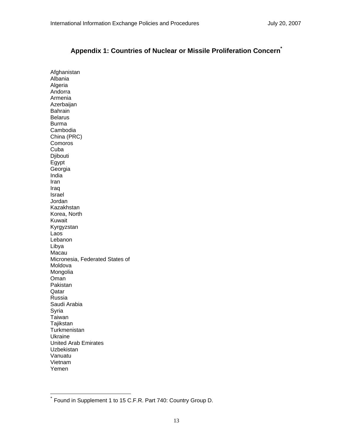## **Appendix 1: Countries of Nuclear or Missile Proliferation Concern\***

Afghanistan Albania Algeria Andorra Armenia Azerbaijan Bahrain Belarus Burma Cambodia China (PRC) **Comoros** Cuba Djibouti Egypt Georgia India Iran Iraq Israel Jordan Kazakhstan Korea, North Kuwait Kyrgyzstan Laos Lebanon Libya Macau Micronesia, Federated States of Moldova Mongolia Oman Pakistan Qatar Russia Saudi Arabia Syria Taiwan **Tajikstan Turkmenistan** Ukraine United Arab Emirates Uzbekistan Vanuatu Vietnam Yemen

 $\overline{a}$ 

Found in Supplement 1 to 15 C.F.R. Part 740: Country Group D.